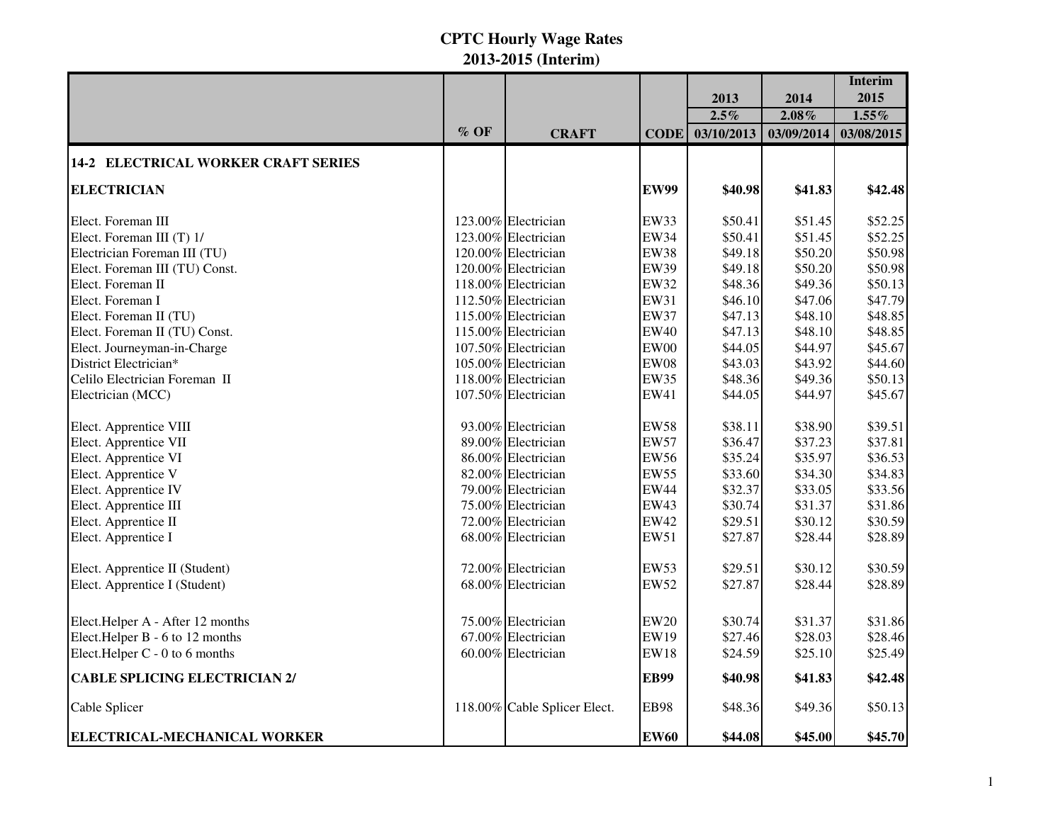|                                            |        |                              |             |            |            | <b>Interim</b> |
|--------------------------------------------|--------|------------------------------|-------------|------------|------------|----------------|
|                                            |        |                              |             | 2013       | 2014       | 2015           |
|                                            |        |                              |             | $2.5\%$    | $2.08\%$   | $1.55\%$       |
|                                            | $%$ OF | <b>CRAFT</b>                 | <b>CODE</b> | 03/10/2013 | 03/09/2014 | 03/08/2015     |
| <b>14-2 ELECTRICAL WORKER CRAFT SERIES</b> |        |                              |             |            |            |                |
| <b>ELECTRICIAN</b>                         |        |                              | <b>EW99</b> | \$40.98    | \$41.83    | \$42.48        |
| Elect. Foreman III                         |        | 123.00% Electrician          | <b>EW33</b> | \$50.41    | \$51.45    | \$52.25        |
| Elect. Foreman III (T) 1/                  |        | 123.00% Electrician          | <b>EW34</b> | \$50.41    | \$51.45    | \$52.25        |
| Electrician Foreman III (TU)               |        | 120.00% Electrician          | <b>EW38</b> | \$49.18    | \$50.20    | \$50.98        |
| Elect. Foreman III (TU) Const.             |        | 120.00% Electrician          | <b>EW39</b> | \$49.18    | \$50.20    | \$50.98        |
| Elect. Foreman II                          |        | 118.00% Electrician          | <b>EW32</b> | \$48.36    | \$49.36    | \$50.13        |
| Elect. Foreman I                           |        | 112.50% Electrician          | EW31        | \$46.10    | \$47.06    | \$47.79        |
| Elect. Foreman II (TU)                     |        | 115.00% Electrician          | <b>EW37</b> | \$47.13    | \$48.10    | \$48.85        |
| Elect. Foreman II (TU) Const.              |        | 115.00% Electrician          | <b>EW40</b> | \$47.13    | \$48.10    | \$48.85        |
| Elect. Journeyman-in-Charge                |        | 107.50% Electrician          | <b>EW00</b> | \$44.05    | \$44.97    | \$45.67        |
| District Electrician*                      |        | 105.00% Electrician          | <b>EW08</b> | \$43.03    | \$43.92    | \$44.60        |
| Celilo Electrician Foreman II              |        | 118.00% Electrician          | <b>EW35</b> | \$48.36    | \$49.36    | \$50.13        |
| Electrician (MCC)                          |        | 107.50% Electrician          | EW41        | \$44.05    | \$44.97    | \$45.67        |
| Elect. Apprentice VIII                     |        | 93.00% Electrician           | <b>EW58</b> | \$38.11    | \$38.90    | \$39.51        |
| Elect. Apprentice VII                      |        | 89.00% Electrician           | <b>EW57</b> | \$36.47    | \$37.23    | \$37.81        |
| Elect. Apprentice VI                       |        | 86.00% Electrician           | <b>EW56</b> | \$35.24    | \$35.97    | \$36.53        |
| Elect. Apprentice V                        |        | 82.00% Electrician           | <b>EW55</b> | \$33.60    | \$34.30    | \$34.83        |
| Elect. Apprentice IV                       |        | 79.00% Electrician           | <b>EW44</b> | \$32.37    | \$33.05    | \$33.56        |
| Elect. Apprentice III                      |        | 75.00% Electrician           | <b>EW43</b> | \$30.74    | \$31.37    | \$31.86        |
| Elect. Apprentice II                       |        | 72.00% Electrician           | <b>EW42</b> | \$29.51    | \$30.12    | \$30.59        |
| Elect. Apprentice I                        |        | 68.00% Electrician           | EW51        | \$27.87    | \$28.44    | \$28.89        |
| Elect. Apprentice II (Student)             |        | 72.00% Electrician           | <b>EW53</b> | \$29.51    | \$30.12    | \$30.59        |
| Elect. Apprentice I (Student)              |        | 68.00% Electrician           | <b>EW52</b> | \$27.87    | \$28.44    | \$28.89        |
| Elect.Helper A - After 12 months           |        | 75.00% Electrician           | <b>EW20</b> | \$30.74    | \$31.37    | \$31.86        |
| Elect.Helper B - 6 to 12 months            |        | 67.00% Electrician           | <b>EW19</b> | \$27.46    | \$28.03    | \$28.46        |
| Elect.Helper C - 0 to 6 months             |        | 60.00% Electrician           | <b>EW18</b> | \$24.59    | \$25.10    | \$25.49        |
| <b>CABLE SPLICING ELECTRICIAN 2/</b>       |        |                              | <b>EB99</b> | \$40.98    | \$41.83    | \$42.48        |
| Cable Splicer                              |        | 118.00% Cable Splicer Elect. | <b>EB98</b> | \$48.36    | \$49.36    | \$50.13        |
| ELECTRICAL-MECHANICAL WORKER               |        |                              | <b>EW60</b> | \$44.08    | \$45.00    | \$45.70        |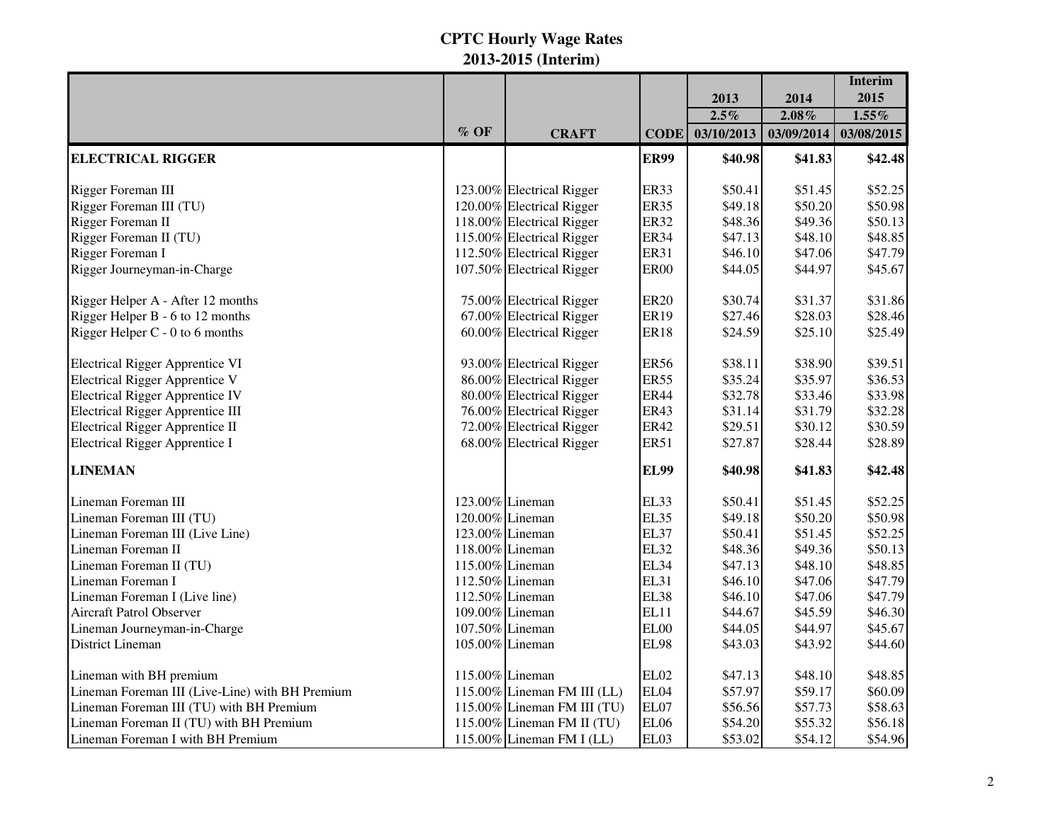|                                                 |        |                             |             |            |            | <b>Interim</b> |
|-------------------------------------------------|--------|-----------------------------|-------------|------------|------------|----------------|
|                                                 |        |                             |             | 2013       | 2014       | 2015           |
|                                                 |        |                             |             | $2.5\%$    | $2.08\%$   | $1.55\%$       |
|                                                 | $%$ OF | <b>CRAFT</b>                | <b>CODE</b> | 03/10/2013 | 03/09/2014 | 03/08/2015     |
| <b>ELECTRICAL RIGGER</b>                        |        |                             | <b>ER99</b> | \$40.98    | \$41.83    | \$42.48        |
| Rigger Foreman III                              |        | 123.00% Electrical Rigger   | <b>ER33</b> | \$50.41    | \$51.45    | \$52.25        |
| Rigger Foreman III (TU)                         |        | 120.00% Electrical Rigger   | <b>ER35</b> | \$49.18    | \$50.20    | \$50.98        |
| Rigger Foreman II                               |        | 118.00% Electrical Rigger   | <b>ER32</b> | \$48.36    | \$49.36    | \$50.13        |
| Rigger Foreman II (TU)                          |        | 115.00% Electrical Rigger   | <b>ER34</b> | \$47.13    | \$48.10    | \$48.85        |
| Rigger Foreman I                                |        | 112.50% Electrical Rigger   | <b>ER31</b> | \$46.10    | \$47.06    | \$47.79        |
| Rigger Journeyman-in-Charge                     |        | 107.50% Electrical Rigger   | <b>ER00</b> | \$44.05    | \$44.97    | \$45.67        |
| Rigger Helper A - After 12 months               |        | 75.00% Electrical Rigger    | <b>ER20</b> | \$30.74    | \$31.37    | \$31.86        |
| Rigger Helper B - 6 to 12 months                |        | 67.00% Electrical Rigger    | <b>ER19</b> | \$27.46    | \$28.03    | \$28.46        |
| Rigger Helper C - 0 to 6 months                 |        | 60.00% Electrical Rigger    | <b>ER18</b> | \$24.59    | \$25.10    | \$25.49        |
| <b>Electrical Rigger Apprentice VI</b>          |        | 93.00% Electrical Rigger    | <b>ER56</b> | \$38.11    | \$38.90    | \$39.51        |
| Electrical Rigger Apprentice V                  |        | 86.00% Electrical Rigger    | <b>ER55</b> | \$35.24    | \$35.97    | \$36.53        |
| <b>Electrical Rigger Apprentice IV</b>          |        | 80.00% Electrical Rigger    | <b>ER44</b> | \$32.78    | \$33.46    | \$33.98        |
| <b>Electrical Rigger Apprentice III</b>         |        | 76.00% Electrical Rigger    | <b>ER43</b> | \$31.14    | \$31.79    | \$32.28        |
| Electrical Rigger Apprentice II                 |        | 72.00% Electrical Rigger    | <b>ER42</b> | \$29.51    | \$30.12    | \$30.59        |
| <b>Electrical Rigger Apprentice I</b>           |        | 68.00% Electrical Rigger    | <b>ER51</b> | \$27.87    | \$28.44    | \$28.89        |
| <b>LINEMAN</b>                                  |        |                             | <b>EL99</b> | \$40.98    | \$41.83    | \$42.48        |
| Lineman Foreman III                             |        | 123.00% Lineman             | EL33        | \$50.41    | \$51.45    | \$52.25        |
| Lineman Foreman III (TU)                        |        | 120.00% Lineman             | <b>EL35</b> | \$49.18    | \$50.20    | \$50.98        |
| Lineman Foreman III (Live Line)                 |        | 123.00% Lineman             | <b>EL37</b> | \$50.41    | \$51.45    | \$52.25        |
| Lineman Foreman II                              |        | 118.00% Lineman             | <b>EL32</b> | \$48.36    | \$49.36    | \$50.13        |
| Lineman Foreman II (TU)                         |        | 115.00% Lineman             | <b>EL34</b> | \$47.13    | \$48.10    | \$48.85        |
| Lineman Foreman I                               |        | 112.50% Lineman             | <b>EL31</b> | \$46.10    | \$47.06    | \$47.79        |
| Lineman Foreman I (Live line)                   |        | 112.50% Lineman             | EL38        | \$46.10    | \$47.06    | \$47.79        |
| Aircraft Patrol Observer                        |        | 109.00% Lineman             | EL11        | \$44.67    | \$45.59    | \$46.30        |
| Lineman Journeyman-in-Charge                    |        | 107.50% Lineman             | EL00        | \$44.05    | \$44.97    | \$45.67        |
| <b>District Lineman</b>                         |        | 105.00% Lineman             | <b>EL98</b> | \$43.03    | \$43.92    | \$44.60        |
| Lineman with BH premium                         |        | 115.00% Lineman             | EL02        | \$47.13    | \$48.10    | \$48.85        |
| Lineman Foreman III (Live-Line) with BH Premium |        | 115.00% Lineman FM III (LL) | EL04        | \$57.97    | \$59.17    | \$60.09        |
| Lineman Foreman III (TU) with BH Premium        |        | 115.00% Lineman FM III (TU) | EL07        | \$56.56    | \$57.73    | \$58.63        |
| Lineman Foreman II (TU) with BH Premium         |        | 115.00% Lineman FM II (TU)  | EL06        | \$54.20    | \$55.32    | \$56.18        |
| Lineman Foreman I with BH Premium               |        | 115.00% Lineman FM I (LL)   | EL03        | \$53.02    | \$54.12    | \$54.96        |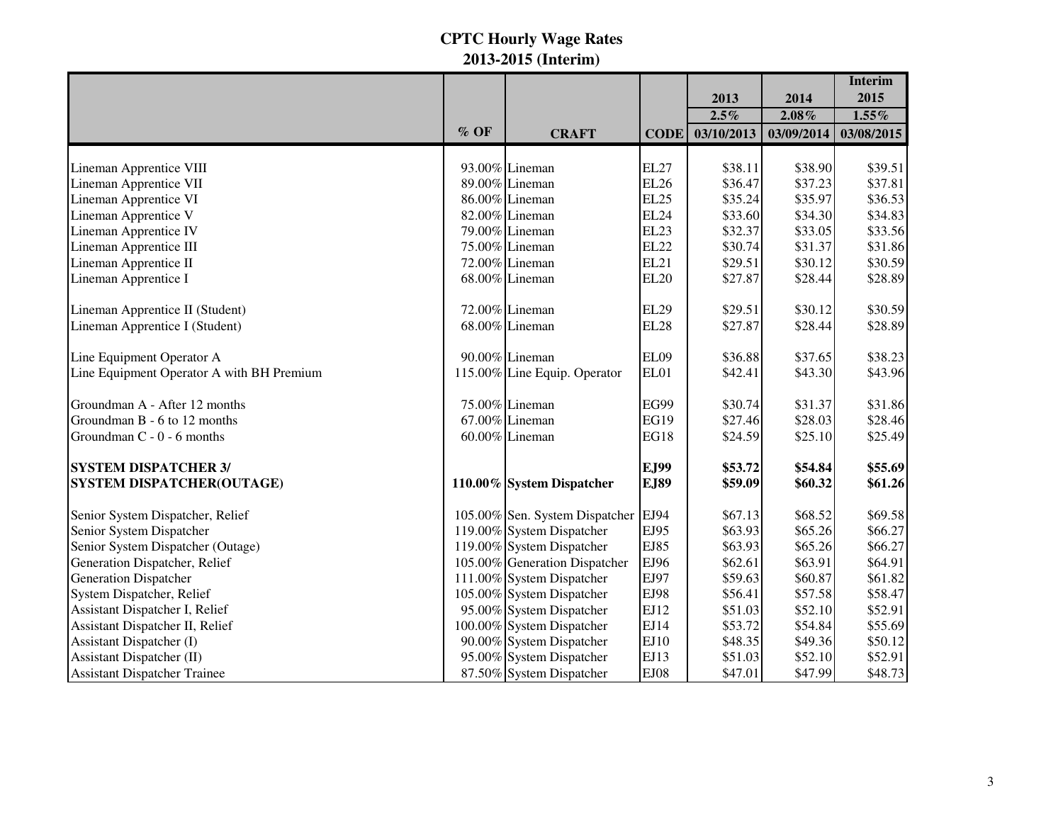|                                           |        |                                     |             |            |            | <b>Interim</b> |
|-------------------------------------------|--------|-------------------------------------|-------------|------------|------------|----------------|
|                                           |        |                                     |             | 2013       | 2014       | 2015           |
|                                           |        |                                     |             | $2.5\%$    | 2.08%      | $1.55\%$       |
|                                           | $%$ OF | <b>CRAFT</b>                        | <b>CODE</b> | 03/10/2013 | 03/09/2014 | 03/08/2015     |
|                                           |        |                                     |             |            |            |                |
| Lineman Apprentice VIII                   |        | 93.00% Lineman                      | <b>EL27</b> | \$38.11    | \$38.90    | \$39.51        |
| Lineman Apprentice VII                    |        | 89.00% Lineman                      | <b>EL26</b> | \$36.47    | \$37.23    | \$37.81        |
| Lineman Apprentice VI                     |        | 86.00% Lineman                      | <b>EL25</b> | \$35.24    | \$35.97    | \$36.53        |
| Lineman Apprentice V                      |        | 82.00% Lineman                      | <b>EL24</b> | \$33.60    | \$34.30    | \$34.83        |
| Lineman Apprentice IV                     |        | 79.00% Lineman                      | <b>EL23</b> | \$32.37    | \$33.05    | \$33.56        |
| Lineman Apprentice III                    |        | 75.00% Lineman                      | <b>EL22</b> | \$30.74    | \$31.37    | \$31.86        |
| Lineman Apprentice II                     |        | 72.00% Lineman                      | <b>EL21</b> | \$29.51    | \$30.12    | \$30.59        |
| Lineman Apprentice I                      |        | 68.00% Lineman                      | <b>EL20</b> | \$27.87    | \$28.44    | \$28.89        |
| Lineman Apprentice II (Student)           |        | 72.00% Lineman                      | <b>EL29</b> | \$29.51    | \$30.12    | \$30.59        |
| Lineman Apprentice I (Student)            |        | 68.00% Lineman                      | <b>EL28</b> | \$27.87    | \$28.44    | \$28.89        |
| Line Equipment Operator A                 |        | 90.00% Lineman                      | EL09        | \$36.88    | \$37.65    | \$38.23        |
| Line Equipment Operator A with BH Premium |        | 115.00% Line Equip. Operator        | EL01        | \$42.41    | \$43.30    | \$43.96        |
| Groundman A - After 12 months             |        | 75.00% Lineman                      | <b>EG99</b> | \$30.74    | \$31.37    | \$31.86        |
| Groundman B - 6 to 12 months              |        | 67.00% Lineman                      | <b>EG19</b> | \$27.46    | \$28.03    | \$28.46        |
| Groundman C - 0 - 6 months                |        | 60.00% Lineman                      | <b>EG18</b> | \$24.59    | \$25.10    | \$25.49        |
| <b>SYSTEM DISPATCHER 3/</b>               |        |                                     | EJ99        | \$53.72    | \$54.84    | \$55.69        |
| SYSTEM DISPATCHER(OUTAGE)                 |        | 110.00% System Dispatcher           | <b>EJ89</b> | \$59.09    | \$60.32    | \$61.26        |
| Senior System Dispatcher, Relief          |        | 105.00% Sen. System Dispatcher EJ94 |             | \$67.13    | \$68.52    | \$69.58        |
| Senior System Dispatcher                  |        | 119.00% System Dispatcher           | EJ95        | \$63.93    | \$65.26    | \$66.27        |
| Senior System Dispatcher (Outage)         |        | 119.00% System Dispatcher           | EJ85        | \$63.93    | \$65.26    | \$66.27        |
| Generation Dispatcher, Relief             |        | 105.00% Generation Dispatcher       | EJ96        | \$62.61    | \$63.91    | \$64.91        |
| <b>Generation Dispatcher</b>              |        | 111.00% System Dispatcher           | EJ97        | \$59.63    | \$60.87    | \$61.82        |
| System Dispatcher, Relief                 |        | 105.00% System Dispatcher           | EJ98        | \$56.41    | \$57.58    | \$58.47        |
| Assistant Dispatcher I, Relief            |        | 95.00% System Dispatcher            | EJ12        | \$51.03    | \$52.10    | \$52.91        |
| Assistant Dispatcher II, Relief           |        | 100.00% System Dispatcher           | EJ14        | \$53.72    | \$54.84    | \$55.69        |
| Assistant Dispatcher (I)                  |        | 90.00% System Dispatcher            | EJ10        | \$48.35    | \$49.36    | \$50.12        |
| Assistant Dispatcher (II)                 |        | 95.00% System Dispatcher            | EJ13        | \$51.03    | \$52.10    | \$52.91        |
| Assistant Dispatcher Trainee              |        | 87.50% System Dispatcher            | <b>EJ08</b> | \$47.01    | \$47.99    | \$48.73        |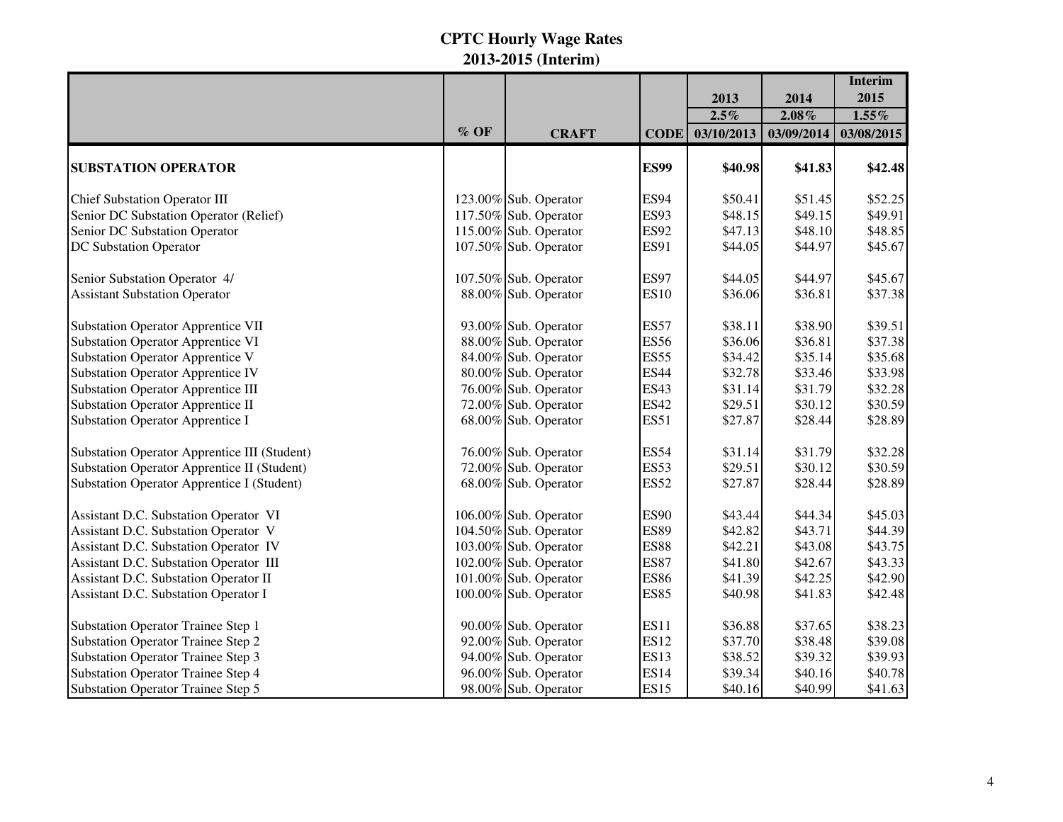|                                                     |      |                       |             |            |            | <b>Interim</b> |
|-----------------------------------------------------|------|-----------------------|-------------|------------|------------|----------------|
|                                                     |      |                       |             | 2013       | 2014       | 2015           |
|                                                     |      |                       |             | $2.5\%$    | $2.08\%$   | $1.55\%$       |
|                                                     | % OF | <b>CRAFT</b>          | <b>CODE</b> | 03/10/2013 | 03/09/2014 | 03/08/2015     |
| <b>SUBSTATION OPERATOR</b>                          |      |                       | <b>ES99</b> | \$40.98    | \$41.83    | \$42.48        |
| <b>Chief Substation Operator III</b>                |      | 123.00% Sub. Operator | <b>ES94</b> | \$50.41    | \$51.45    | \$52.25        |
| Senior DC Substation Operator (Relief)              |      | 117.50% Sub. Operator | <b>ES93</b> | \$48.15    | \$49.15    | \$49.91        |
| Senior DC Substation Operator                       |      | 115.00% Sub. Operator | <b>ES92</b> | \$47.13    | \$48.10    | \$48.85        |
| DC Substation Operator                              |      | 107.50% Sub. Operator | <b>ES91</b> | \$44.05    | \$44.97    | \$45.67        |
| Senior Substation Operator 4/                       |      | 107.50% Sub. Operator | <b>ES97</b> | \$44.05    | \$44.97    | \$45.67        |
| <b>Assistant Substation Operator</b>                |      | 88.00% Sub. Operator  | <b>ES10</b> | \$36.06    | \$36.81    | \$37.38        |
| <b>Substation Operator Apprentice VII</b>           |      | 93.00% Sub. Operator  | <b>ES57</b> | \$38.11    | \$38.90    | \$39.51        |
| <b>Substation Operator Apprentice VI</b>            |      | 88.00% Sub. Operator  | <b>ES56</b> | \$36.06    | \$36.81    | \$37.38        |
| <b>Substation Operator Apprentice V</b>             |      | 84.00% Sub. Operator  | <b>ES55</b> | \$34.42    | \$35.14    | \$35.68        |
| <b>Substation Operator Apprentice IV</b>            |      | 80.00% Sub. Operator  | <b>ES44</b> | \$32.78    | \$33.46    | \$33.98        |
| <b>Substation Operator Apprentice III</b>           |      | 76.00% Sub. Operator  | <b>ES43</b> | \$31.14    | \$31.79    | \$32.28        |
| <b>Substation Operator Apprentice II</b>            |      | 72.00% Sub. Operator  | <b>ES42</b> | \$29.51    | \$30.12    | \$30.59        |
| <b>Substation Operator Apprentice I</b>             |      | 68.00% Sub. Operator  | <b>ES51</b> | \$27.87    | \$28.44    | \$28.89        |
| <b>Substation Operator Apprentice III (Student)</b> |      | 76.00% Sub. Operator  | <b>ES54</b> | \$31.14    | \$31.79    | \$32.28        |
| <b>Substation Operator Apprentice II (Student)</b>  |      | 72.00% Sub. Operator  | <b>ES53</b> | \$29.51    | \$30.12    | \$30.59        |
| <b>Substation Operator Apprentice I (Student)</b>   |      | 68.00% Sub. Operator  | <b>ES52</b> | \$27.87    | \$28.44    | \$28.89        |
| Assistant D.C. Substation Operator VI               |      | 106.00% Sub. Operator | <b>ES90</b> | \$43.44    | \$44.34    | \$45.03        |
| Assistant D.C. Substation Operator V                |      | 104.50% Sub. Operator | <b>ES89</b> | \$42.82    | \$43.71    | \$44.39        |
| Assistant D.C. Substation Operator IV               |      | 103.00% Sub. Operator | <b>ES88</b> | \$42.21    | \$43.08    | \$43.75        |
| Assistant D.C. Substation Operator III              |      | 102.00% Sub. Operator | <b>ES87</b> | \$41.80    | \$42.67    | \$43.33        |
| Assistant D.C. Substation Operator II               |      | 101.00% Sub. Operator | <b>ES86</b> | \$41.39    | \$42.25    | \$42.90        |
| Assistant D.C. Substation Operator I                |      | 100.00% Sub. Operator | <b>ES85</b> | \$40.98    | \$41.83    | \$42.48        |
| <b>Substation Operator Trainee Step 1</b>           |      | 90.00% Sub. Operator  | <b>ES11</b> | \$36.88    | \$37.65    | \$38.23        |
| <b>Substation Operator Trainee Step 2</b>           |      | 92.00% Sub. Operator  | <b>ES12</b> | \$37.70    | \$38.48    | \$39.08        |
| <b>Substation Operator Trainee Step 3</b>           |      | 94.00% Sub. Operator  | <b>ES13</b> | \$38.52    | \$39.32    | \$39.93        |
| <b>Substation Operator Trainee Step 4</b>           |      | 96.00% Sub. Operator  | <b>ES14</b> | \$39.34    | \$40.16    | \$40.78        |
| <b>Substation Operator Trainee Step 5</b>           |      | 98.00% Sub. Operator  | <b>ES15</b> | \$40.16    | \$40.99    | \$41.63        |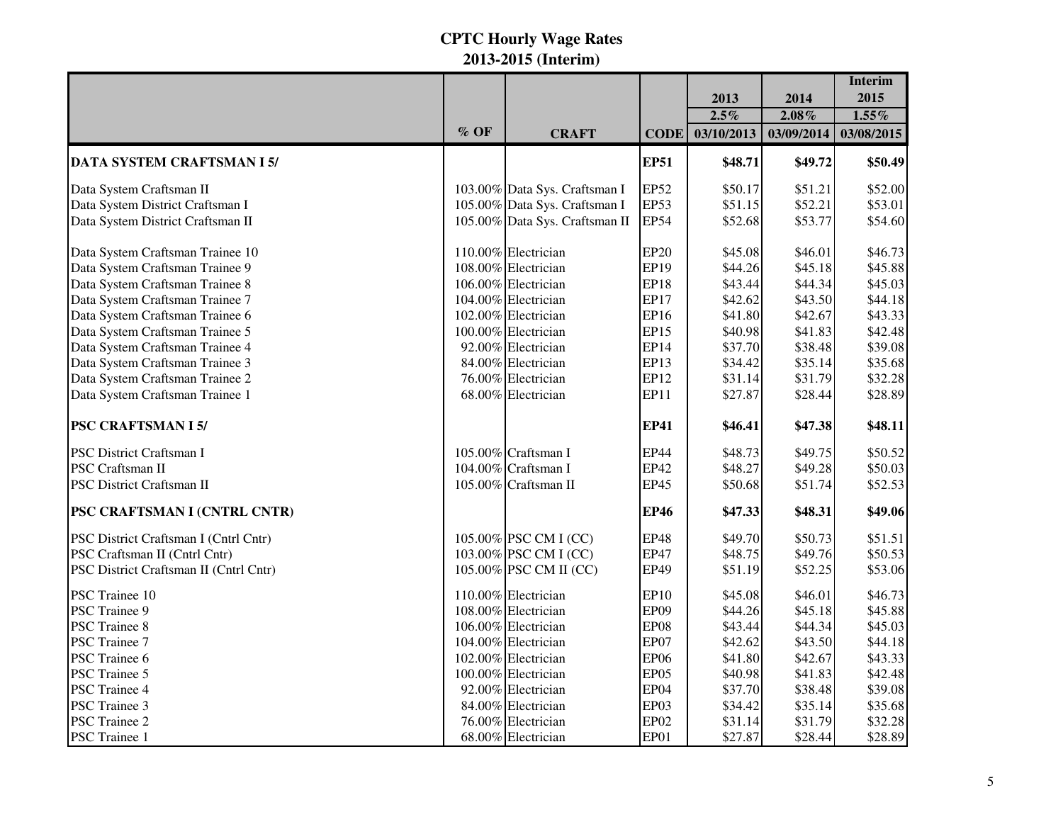|                                        |        |                                |             |            |            | <b>Interim</b> |
|----------------------------------------|--------|--------------------------------|-------------|------------|------------|----------------|
|                                        |        |                                |             | 2013       | 2014       | 2015           |
|                                        |        |                                |             | $2.5\%$    | $2.08\%$   | $1.55\%$       |
|                                        | $%$ OF | <b>CRAFT</b>                   | <b>CODE</b> | 03/10/2013 | 03/09/2014 | 03/08/2015     |
| DATA SYSTEM CRAFTSMAN I 5/             |        |                                | <b>EP51</b> | \$48.71    | \$49.72    | \$50.49        |
| Data System Craftsman II               |        | 103.00% Data Sys. Craftsman I  | <b>EP52</b> | \$50.17    | \$51.21    | \$52.00        |
| Data System District Craftsman I       |        | 105.00% Data Sys. Craftsman I  | <b>EP53</b> | \$51.15    | \$52.21    | \$53.01        |
| Data System District Craftsman II      |        | 105.00% Data Sys. Craftsman II | <b>EP54</b> | \$52.68    | \$53.77    | \$54.60        |
| Data System Craftsman Trainee 10       |        | 110.00% Electrician            | <b>EP20</b> | \$45.08    | \$46.01    | \$46.73        |
| Data System Craftsman Trainee 9        |        | 108.00% Electrician            | EP19        | \$44.26    | \$45.18    | \$45.88        |
| Data System Craftsman Trainee 8        |        | 106.00% Electrician            | <b>EP18</b> | \$43.44    | \$44.34    | \$45.03        |
| Data System Craftsman Trainee 7        |        | 104.00% Electrician            | <b>EP17</b> | \$42.62    | \$43.50    | \$44.18        |
| Data System Craftsman Trainee 6        |        | 102.00% Electrician            | EP16        | \$41.80    | \$42.67    | \$43.33        |
| Data System Craftsman Trainee 5        |        | 100.00% Electrician            | <b>EP15</b> | \$40.98    | \$41.83    | \$42.48        |
| Data System Craftsman Trainee 4        |        | 92.00% Electrician             | EP14        | \$37.70    | \$38.48    | \$39.08        |
| Data System Craftsman Trainee 3        |        | 84.00% Electrician             | EP13        | \$34.42    | \$35.14    | \$35.68        |
| Data System Craftsman Trainee 2        |        | 76.00% Electrician             | EP12        | \$31.14    | \$31.79    | \$32.28        |
| Data System Craftsman Trainee 1        |        | 68.00% Electrician             | EP11        | \$27.87    | \$28.44    | \$28.89        |
| <b>PSC CRAFTSMAN I 5/</b>              |        |                                | <b>EP41</b> | \$46.41    | \$47.38    | \$48.11        |
| PSC District Craftsman I               |        | 105.00% Craftsman I            | <b>EP44</b> | \$48.73    | \$49.75    | \$50.52        |
| PSC Craftsman II                       |        | 104.00% Craftsman I            | EP42        | \$48.27    | \$49.28    | \$50.03        |
| PSC District Craftsman II              |        | 105.00% Craftsman II           | <b>EP45</b> | \$50.68    | \$51.74    | \$52.53        |
| PSC CRAFTSMAN I (CNTRL CNTR)           |        |                                | <b>EP46</b> | \$47.33    | \$48.31    | \$49.06        |
| PSC District Craftsman I (Cntrl Cntr)  |        | 105.00% PSC CM I (CC)          | <b>EP48</b> | \$49.70    | \$50.73    | \$51.51        |
| PSC Craftsman II (Cntrl Cntr)          |        | 103.00% PSC CM I (CC)          | <b>EP47</b> | \$48.75    | \$49.76    | \$50.53        |
| PSC District Craftsman II (Cntrl Cntr) |        | 105.00% PSC CM II (CC)         | <b>EP49</b> | \$51.19    | \$52.25    | \$53.06        |
| PSC Trainee 10                         |        | 110.00% Electrician            | EP10        | \$45.08    | \$46.01    | \$46.73        |
| PSC Trainee 9                          |        | 108.00% Electrician            | EP09        | \$44.26    | \$45.18    | \$45.88        |
| <b>PSC</b> Trainee 8                   |        | 106.00% Electrician            | EP08        | \$43.44    | \$44.34    | \$45.03        |
| PSC Trainee 7                          |        | 104.00% Electrician            | EP07        | \$42.62    | \$43.50    | \$44.18        |
| PSC Trainee 6                          |        | 102.00% Electrician            | <b>EP06</b> | \$41.80    | \$42.67    | \$43.33        |
| PSC Trainee 5                          |        | 100.00% Electrician            | EP05        | \$40.98    | \$41.83    | \$42.48        |
| PSC Trainee 4                          |        | 92.00% Electrician             | EP04        | \$37.70    | \$38.48    | \$39.08        |
| PSC Trainee 3                          |        | 84.00% Electrician             | EP03        | \$34.42    | \$35.14    | \$35.68        |
| <b>PSC Trainee 2</b>                   |        | 76.00% Electrician             | EP02        | \$31.14    | \$31.79    | \$32.28        |
| PSC Trainee 1                          |        | 68.00% Electrician             | EP01        | \$27.87    | \$28.44    | \$28.89        |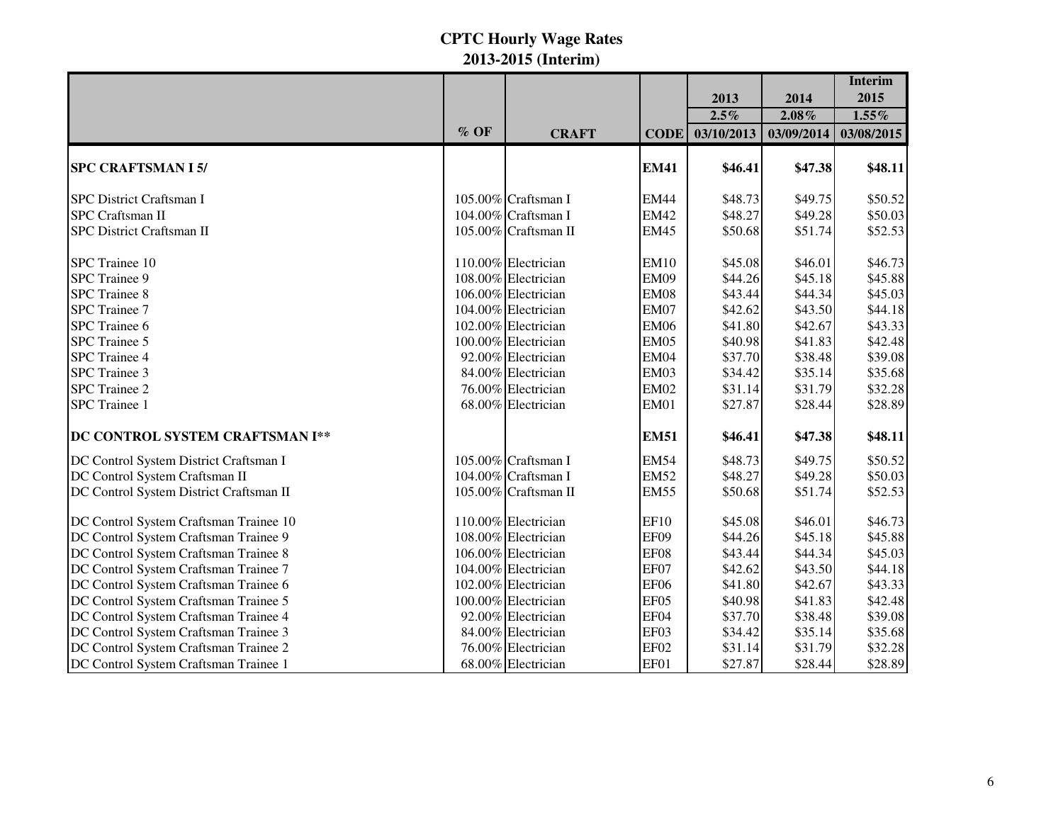|                                         |        |                      |                  |            |            | <b>Interim</b> |
|-----------------------------------------|--------|----------------------|------------------|------------|------------|----------------|
|                                         |        |                      |                  | 2013       | 2014       | 2015           |
|                                         |        |                      |                  | $2.5\%$    | 2.08%      | $1.55\%$       |
|                                         | $%$ OF | <b>CRAFT</b>         | <b>CODE</b>      | 03/10/2013 | 03/09/2014 | 03/08/2015     |
| <b>SPC CRAFTSMAN I 5/</b>               |        |                      | <b>EM41</b>      | \$46.41    | \$47.38    | \$48.11        |
| <b>SPC District Craftsman I</b>         |        | 105.00% Craftsman I  | <b>EM44</b>      | \$48.73    | \$49.75    | \$50.52        |
| <b>SPC</b> Craftsman II                 |        | 104.00% Craftsman I  | <b>EM42</b>      | \$48.27    | \$49.28    | \$50.03        |
| SPC District Craftsman II               |        | 105.00% Craftsman II | <b>EM45</b>      | \$50.68    | \$51.74    | \$52.53        |
| SPC Trainee 10                          |        | 110.00% Electrician  | <b>EM10</b>      | \$45.08    | \$46.01    | \$46.73        |
| SPC Trainee 9                           |        | 108.00% Electrician  | <b>EM09</b>      | \$44.26    | \$45.18    | \$45.88        |
| <b>SPC</b> Trainee 8                    |        | 106.00% Electrician  | <b>EM08</b>      | \$43.44    | \$44.34    | \$45.03        |
| <b>SPC</b> Trainee 7                    |        | 104.00% Electrician  | <b>EM07</b>      | \$42.62    | \$43.50    | \$44.18        |
| SPC Trainee 6                           |        | 102.00% Electrician  | <b>EM06</b>      | \$41.80    | \$42.67    | \$43.33        |
| SPC Trainee 5                           |        | 100.00% Electrician  | <b>EM05</b>      | \$40.98    | \$41.83    | \$42.48        |
| SPC Trainee 4                           |        | 92.00% Electrician   | <b>EM04</b>      | \$37.70    | \$38.48    | \$39.08        |
| SPC Trainee 3                           |        | 84.00% Electrician   | <b>EM03</b>      | \$34.42    | \$35.14    | \$35.68        |
| <b>SPC</b> Trainee 2                    |        | 76.00% Electrician   | <b>EM02</b>      | \$31.14    | \$31.79    | \$32.28        |
| <b>SPC</b> Trainee 1                    |        | 68.00% Electrician   | <b>EM01</b>      | \$27.87    | \$28.44    | \$28.89        |
| DC CONTROL SYSTEM CRAFTSMAN I**         |        |                      | <b>EM51</b>      | \$46.41    | \$47.38    | \$48.11        |
| DC Control System District Craftsman I  |        | 105.00% Craftsman I  | <b>EM54</b>      | \$48.73    | \$49.75    | \$50.52        |
| DC Control System Craftsman II          |        | 104.00% Craftsman I  | <b>EM52</b>      | \$48.27    | \$49.28    | \$50.03        |
| DC Control System District Craftsman II |        | 105.00% Craftsman II | <b>EM55</b>      | \$50.68    | \$51.74    | \$52.53        |
| DC Control System Craftsman Trainee 10  |        | 110.00% Electrician  | <b>EF10</b>      | \$45.08    | \$46.01    | \$46.73        |
| DC Control System Craftsman Trainee 9   |        | 108.00% Electrician  | EF09             | \$44.26    | \$45.18    | \$45.88        |
| DC Control System Craftsman Trainee 8   |        | 106.00% Electrician  | EF08             | \$43.44    | \$44.34    | \$45.03        |
| DC Control System Craftsman Trainee 7   |        | 104.00% Electrician  | EF07             | \$42.62    | \$43.50    | \$44.18        |
| DC Control System Craftsman Trainee 6   |        | 102.00% Electrician  | EF <sub>06</sub> | \$41.80    | \$42.67    | \$43.33        |
| DC Control System Craftsman Trainee 5   |        | 100.00% Electrician  | EF05             | \$40.98    | \$41.83    | \$42.48        |
| DC Control System Craftsman Trainee 4   |        | 92.00% Electrician   | EF04             | \$37.70    | \$38.48    | \$39.08        |
| DC Control System Craftsman Trainee 3   |        | 84.00% Electrician   | EF03             | \$34.42    | \$35.14    | \$35.68        |
| DC Control System Craftsman Trainee 2   |        | 76.00% Electrician   | EF <sub>02</sub> | \$31.14    | \$31.79    | \$32.28        |
| DC Control System Craftsman Trainee 1   |        | 68.00% Electrician   | EF01             | \$27.87    | \$28.44    | \$28.89        |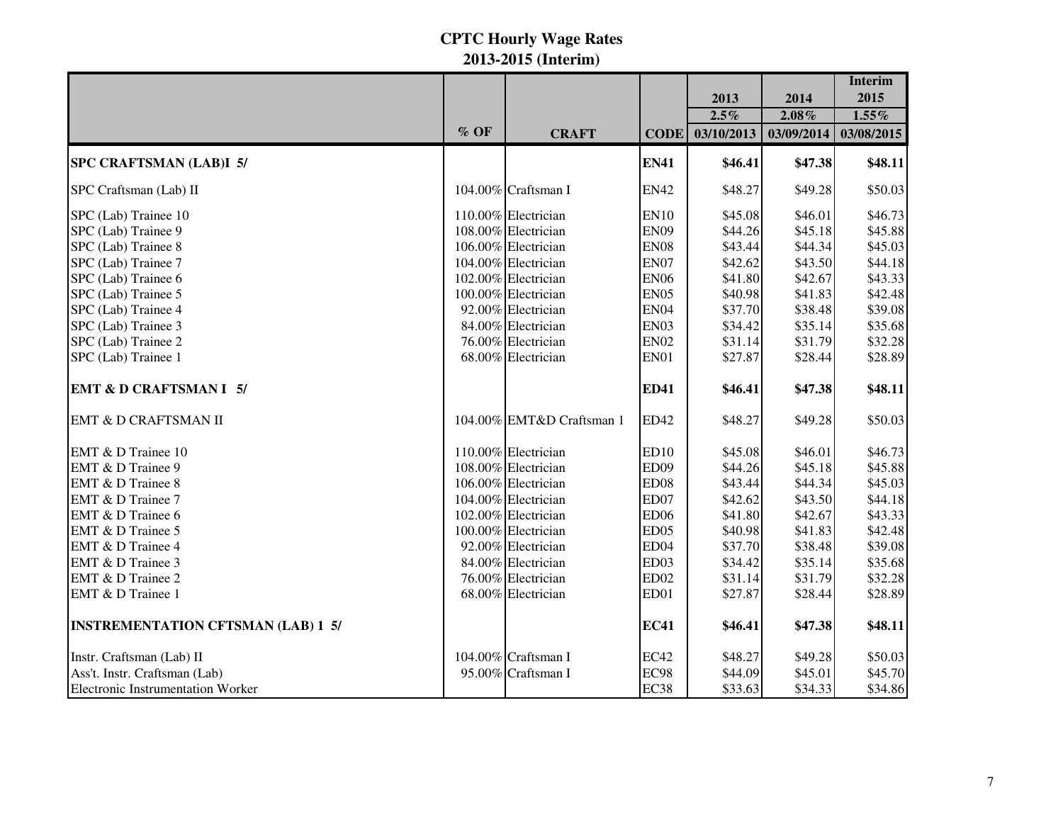|                                           |        |                           |                  |            |            | <b>Interim</b> |
|-------------------------------------------|--------|---------------------------|------------------|------------|------------|----------------|
|                                           |        |                           |                  | 2013       | 2014       | 2015           |
|                                           |        |                           |                  | $2.5\%$    | 2.08%      | $1.55\%$       |
|                                           | $%$ OF | <b>CRAFT</b>              | <b>CODE</b>      | 03/10/2013 | 03/09/2014 | 03/08/2015     |
| <b>SPC CRAFTSMAN (LAB)I 5/</b>            |        |                           | <b>EN41</b>      | \$46.41    | \$47.38    | \$48.11        |
| SPC Craftsman (Lab) II                    |        | 104.00% Craftsman I       | <b>EN42</b>      | \$48.27    | \$49.28    | \$50.03        |
| SPC (Lab) Trainee 10                      |        | 110.00% Electrician       | <b>EN10</b>      | \$45.08    | \$46.01    | \$46.73        |
| SPC (Lab) Trainee 9                       |        | 108.00% Electrician       | <b>EN09</b>      | \$44.26    | \$45.18    | \$45.88        |
| SPC (Lab) Trainee 8                       |        | 106.00% Electrician       | <b>EN08</b>      | \$43.44    | \$44.34    | \$45.03        |
| SPC (Lab) Trainee 7                       |        | 104.00% Electrician       | EN07             | \$42.62    | \$43.50    | \$44.18        |
| SPC (Lab) Trainee 6                       |        | 102.00% Electrician       | <b>EN06</b>      | \$41.80    | \$42.67    | \$43.33        |
| SPC (Lab) Trainee 5                       |        | 100.00% Electrician       | <b>EN05</b>      | \$40.98    | \$41.83    | \$42.48        |
| SPC (Lab) Trainee 4                       |        | 92.00% Electrician        | <b>EN04</b>      | \$37.70    | \$38.48    | \$39.08        |
| SPC (Lab) Trainee 3                       |        | 84.00% Electrician        | EN03             | \$34.42    | \$35.14    | \$35.68        |
| SPC (Lab) Trainee 2                       |        | 76.00% Electrician        | <b>EN02</b>      | \$31.14    | \$31.79    | \$32.28        |
| SPC (Lab) Trainee 1                       |        | 68.00% Electrician        | EN01             | \$27.87    | \$28.44    | \$28.89        |
| <b>EMT &amp; D CRAFTSMAN I 5/</b>         |        |                           | <b>ED41</b>      | \$46.41    | \$47.38    | \$48.11        |
| EMT & D CRAFTSMAN II                      |        | 104.00% EMT&D Craftsman 1 | <b>ED42</b>      | \$48.27    | \$49.28    | \$50.03        |
| EMT & D Trainee 10                        |        | 110.00% Electrician       | ED10             | \$45.08    | \$46.01    | \$46.73        |
| EMT & D Trainee 9                         |        | 108.00% Electrician       | ED <sub>09</sub> | \$44.26    | \$45.18    | \$45.88        |
| EMT & D Trainee 8                         |        | 106.00% Electrician       | ED08             | \$43.44    | \$44.34    | \$45.03        |
| EMT & D Trainee 7                         |        | 104.00% Electrician       | ED07             | \$42.62    | \$43.50    | \$44.18        |
| EMT & D Trainee 6                         |        | 102.00% Electrician       | <b>ED06</b>      | \$41.80    | \$42.67    | \$43.33        |
| EMT & D Trainee 5                         |        | 100.00% Electrician       | ED <sub>05</sub> | \$40.98    | \$41.83    | \$42.48        |
| EMT & D Trainee 4                         |        | 92.00% Electrician        | ED <sub>04</sub> | \$37.70    | \$38.48    | \$39.08        |
| EMT & D Trainee 3                         |        | 84.00% Electrician        | ED <sub>03</sub> | \$34.42    | \$35.14    | \$35.68        |
| EMT & D Trainee 2                         |        | 76.00% Electrician        | ED <sub>02</sub> | \$31.14    | \$31.79    | \$32.28        |
| EMT & D Trainee 1                         |        | 68.00% Electrician        | ED01             | \$27.87    | \$28.44    | \$28.89        |
| <b>INSTREMENTATION CFTSMAN (LAB) 1 5/</b> |        |                           | <b>EC41</b>      | \$46.41    | \$47.38    | \$48.11        |
| Instr. Craftsman (Lab) II                 |        | 104.00% Craftsman I       | <b>EC42</b>      | \$48.27    | \$49.28    | \$50.03        |
| Ass't. Instr. Craftsman (Lab)             |        | 95.00% Craftsman I        | EC98             | \$44.09    | \$45.01    | \$45.70        |
| <b>Electronic Instrumentation Worker</b>  |        |                           | EC38             | \$33.63    | \$34.33    | \$34.86        |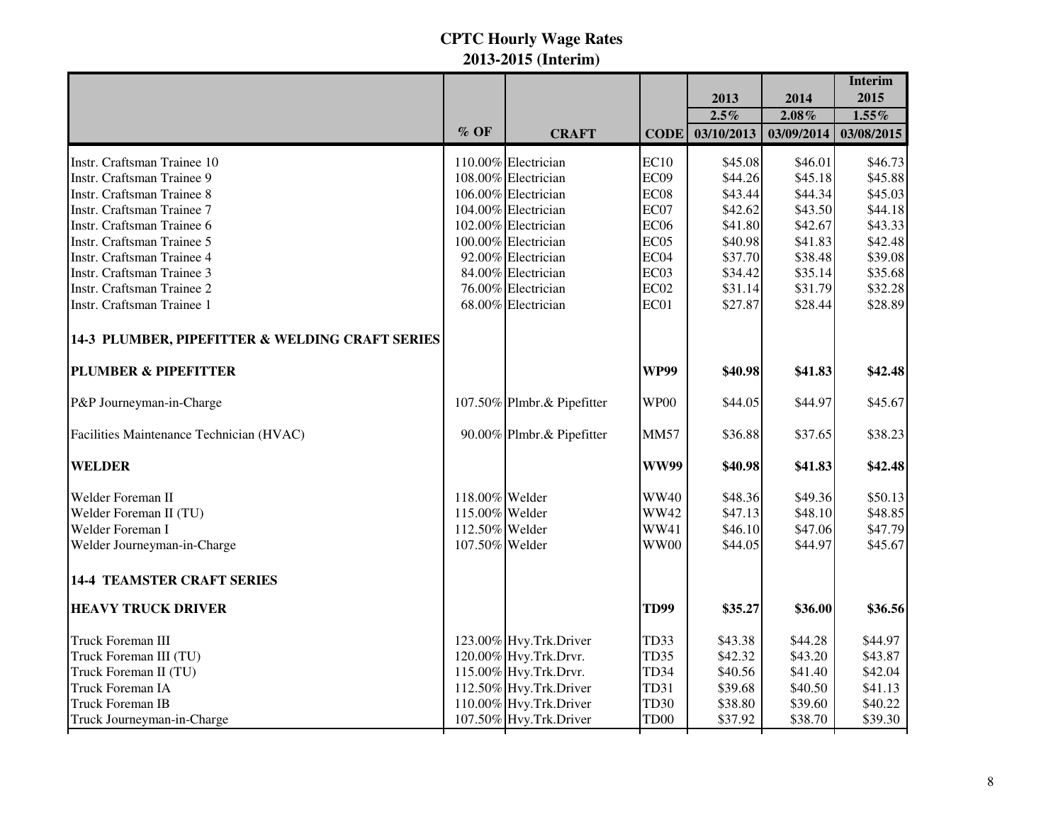|                                                 |                |                            |                  |            |            | <b>Interim</b> |
|-------------------------------------------------|----------------|----------------------------|------------------|------------|------------|----------------|
|                                                 |                |                            |                  | 2013       | 2014       | 2015           |
|                                                 | $\%$ OF        |                            |                  | $2.5\%$    | $2.08\%$   | $1.55\%$       |
|                                                 |                | <b>CRAFT</b>               | <b>CODE</b>      | 03/10/2013 | 03/09/2014 | 03/08/2015     |
| Instr. Craftsman Trainee 10                     |                | 110.00% Electrician        | EC10             | \$45.08    | \$46.01    | \$46.73        |
| Instr. Craftsman Trainee 9                      |                | 108.00% Electrician        | EC09             | \$44.26    | \$45.18    | \$45.88        |
| <b>Instr. Craftsman Trainee 8</b>               |                | 106.00% Electrician        | EC08             | \$43.44    | \$44.34    | \$45.03        |
| Instr. Craftsman Trainee 7                      |                | 104.00% Electrician        | EC07             | \$42.62    | \$43.50    | \$44.18        |
| Instr. Craftsman Trainee 6                      |                | 102.00% Electrician        | EC <sub>06</sub> | \$41.80    | \$42.67    | \$43.33        |
| Instr. Craftsman Trainee 5                      |                | 100.00% Electrician        | EC05             | \$40.98    | \$41.83    | \$42.48        |
| Instr. Craftsman Trainee 4                      |                | 92.00% Electrician         | EC04             | \$37.70    | \$38.48    | \$39.08        |
| Instr. Craftsman Trainee 3                      |                | 84.00% Electrician         | EC03             | \$34.42    | \$35.14    | \$35.68        |
| Instr. Craftsman Trainee 2                      |                | 76.00% Electrician         | EC <sub>02</sub> | \$31.14    | \$31.79    | \$32.28        |
| Instr. Craftsman Trainee 1                      |                | 68.00% Electrician         | EC01             | \$27.87    | \$28.44    | \$28.89        |
| 14-3 PLUMBER, PIPEFITTER & WELDING CRAFT SERIES |                |                            |                  |            |            |                |
| <b>PLUMBER &amp; PIPEFITTER</b>                 |                |                            | <b>WP99</b>      | \$40.98    | \$41.83    | \$42.48        |
| P&P Journeyman-in-Charge                        |                | 107.50% Plmbr.& Pipefitter | WP00             | \$44.05    | \$44.97    | \$45.67        |
| Facilities Maintenance Technician (HVAC)        |                | 90.00% Plmbr.& Pipefitter  | <b>MM57</b>      | \$36.88    | \$37.65    | \$38.23        |
| <b>WELDER</b>                                   |                |                            | <b>WW99</b>      | \$40.98    | \$41.83    | \$42.48        |
| Welder Foreman II                               | 118.00% Welder |                            | <b>WW40</b>      | \$48.36    | \$49.36    | \$50.13        |
| Welder Foreman II (TU)                          | 115.00% Welder |                            | <b>WW42</b>      | \$47.13    | \$48.10    | \$48.85        |
| Welder Foreman I                                | 112.50% Welder |                            | <b>WW41</b>      | \$46.10    | \$47.06    | \$47.79        |
| Welder Journeyman-in-Charge                     | 107.50% Welder |                            | <b>WW00</b>      | \$44.05    | \$44.97    | \$45.67        |
| <b>14-4 TEAMSTER CRAFT SERIES</b>               |                |                            |                  |            |            |                |
| <b>HEAVY TRUCK DRIVER</b>                       |                |                            | <b>TD99</b>      | \$35.27    | \$36.00    | \$36.56        |
| Truck Foreman III                               |                | 123.00% Hvy.Trk.Driver     | TD33             | \$43.38    | \$44.28    | \$44.97        |
| Truck Foreman III (TU)                          |                | 120.00% Hvy.Trk.Drvr.      | TD35             | \$42.32    | \$43.20    | \$43.87        |
| Truck Foreman II (TU)                           |                | 115.00% Hvy.Trk.Drvr.      | TD34             | \$40.56    | \$41.40    | \$42.04        |
| <b>Truck Foreman IA</b>                         |                | 112.50% Hvy.Trk.Driver     | TD31             | \$39.68    | \$40.50    | \$41.13        |
| <b>Truck Foreman IB</b>                         |                | 110.00% Hvy.Trk.Driver     | <b>TD30</b>      | \$38.80    | \$39.60    | \$40.22        |
| Truck Journeyman-in-Charge                      |                | 107.50% Hvy.Trk.Driver     | TD <sub>00</sub> | \$37.92    | \$38.70    | \$39.30        |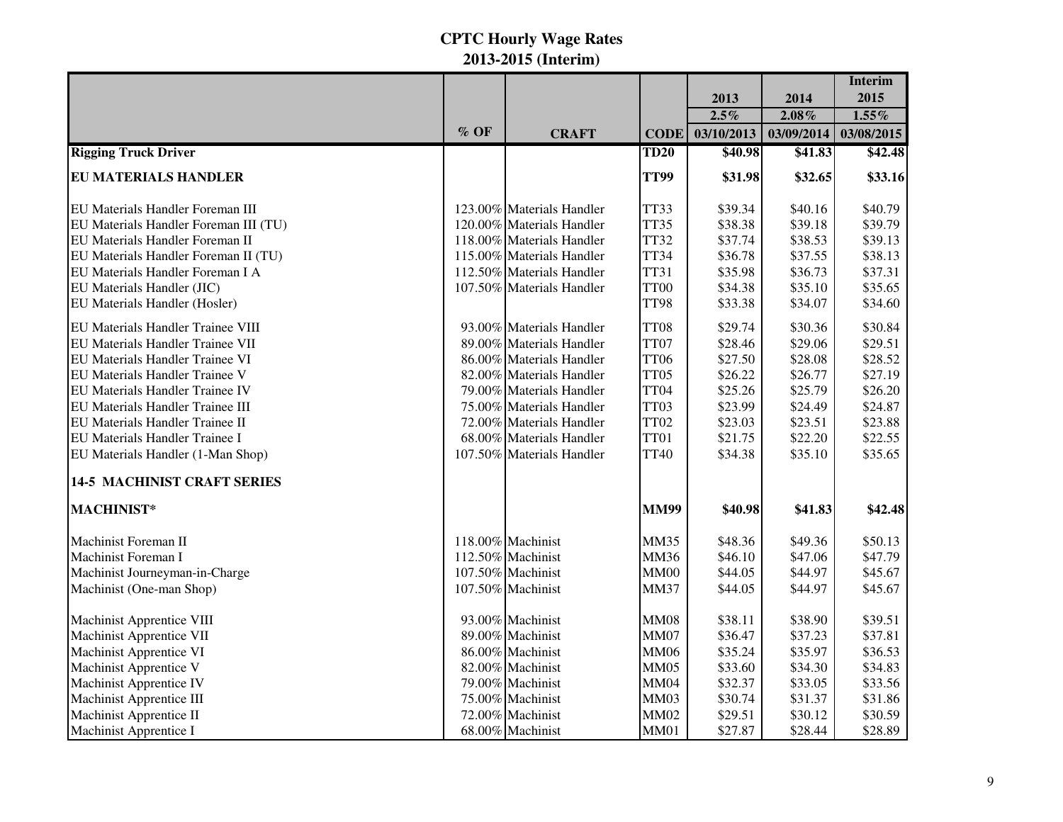|                                          |        |                           |             |            |            | <b>Interim</b> |
|------------------------------------------|--------|---------------------------|-------------|------------|------------|----------------|
|                                          |        |                           |             | 2013       | 2014       | 2015           |
|                                          |        |                           |             | $2.5\%$    | $2.08\%$   | $1.55\%$       |
|                                          | $%$ OF | <b>CRAFT</b>              | <b>CODE</b> | 03/10/2013 | 03/09/2014 | 03/08/2015     |
| <b>Rigging Truck Driver</b>              |        |                           | <b>TD20</b> | \$40.98    | \$41.83    | \$42.48        |
| <b>EU MATERIALS HANDLER</b>              |        |                           | <b>TT99</b> | \$31.98    | \$32.65    | \$33.16        |
| EU Materials Handler Foreman III         |        | 123.00% Materials Handler | TT33        | \$39.34    | \$40.16    | \$40.79        |
| EU Materials Handler Foreman III (TU)    |        | 120.00% Materials Handler | TT35        | \$38.38    | \$39.18    | \$39.79        |
| EU Materials Handler Foreman II          |        | 118.00% Materials Handler | TT32        | \$37.74    | \$38.53    | \$39.13        |
| EU Materials Handler Foreman II (TU)     |        | 115.00% Materials Handler | TT34        | \$36.78    | \$37.55    | \$38.13        |
| EU Materials Handler Foreman I A         |        | 112.50% Materials Handler | <b>TT31</b> | \$35.98    | \$36.73    | \$37.31        |
| EU Materials Handler (JIC)               |        | 107.50% Materials Handler | TT00        | \$34.38    | \$35.10    | \$35.65        |
| EU Materials Handler (Hosler)            |        |                           | TT98        | \$33.38    | \$34.07    | \$34.60        |
| <b>EU Materials Handler Trainee VIII</b> |        | 93.00% Materials Handler  | TT08        | \$29.74    | \$30.36    | \$30.84        |
| <b>EU Materials Handler Trainee VII</b>  |        | 89.00% Materials Handler  | TT07        | \$28.46    | \$29.06    | \$29.51        |
| <b>EU Materials Handler Trainee VI</b>   |        | 86.00% Materials Handler  | <b>TT06</b> | \$27.50    | \$28.08    | \$28.52        |
| EU Materials Handler Trainee V           |        | 82.00% Materials Handler  | TT05        | \$26.22    | \$26.77    | \$27.19        |
| <b>EU Materials Handler Trainee IV</b>   |        | 79.00% Materials Handler  | TT04        | \$25.26    | \$25.79    | \$26.20        |
| <b>EU Materials Handler Trainee III</b>  |        | 75.00% Materials Handler  | TT03        | \$23.99    | \$24.49    | \$24.87        |
| <b>EU Materials Handler Trainee II</b>   |        | 72.00% Materials Handler  | TT02        | \$23.03    | \$23.51    | \$23.88        |
| <b>EU Materials Handler Trainee I</b>    |        | 68.00% Materials Handler  | TT01        | \$21.75    | \$22.20    | \$22.55        |
| EU Materials Handler (1-Man Shop)        |        | 107.50% Materials Handler | <b>TT40</b> | \$34.38    | \$35.10    | \$35.65        |
| <b>14-5 MACHINIST CRAFT SERIES</b>       |        |                           |             |            |            |                |
| MACHINIST*                               |        |                           | <b>MM99</b> | \$40.98    | \$41.83    | \$42.48        |
| Machinist Foreman II                     |        | 118.00% Machinist         | <b>MM35</b> | \$48.36    | \$49.36    | \$50.13        |
| Machinist Foreman I                      |        | 112.50% Machinist         | <b>MM36</b> | \$46.10    | \$47.06    | \$47.79        |
| Machinist Journeyman-in-Charge           |        | 107.50% Machinist         | <b>MM00</b> | \$44.05    | \$44.97    | \$45.67        |
| Machinist (One-man Shop)                 |        | 107.50% Machinist         | <b>MM37</b> | \$44.05    | \$44.97    | \$45.67        |
| <b>Machinist Apprentice VIII</b>         |        | 93.00% Machinist          | <b>MM08</b> | \$38.11    | \$38.90    | \$39.51        |
| <b>Machinist Apprentice VII</b>          |        | 89.00% Machinist          | <b>MM07</b> | \$36.47    | \$37.23    | \$37.81        |
| <b>Machinist Apprentice VI</b>           |        | 86.00% Machinist          | <b>MM06</b> | \$35.24    | \$35.97    | \$36.53        |
| Machinist Apprentice V                   |        | 82.00% Machinist          | <b>MM05</b> | \$33.60    | \$34.30    | \$34.83        |
| <b>Machinist Apprentice IV</b>           |        | 79.00% Machinist          | <b>MM04</b> | \$32.37    | \$33.05    | \$33.56        |
| Machinist Apprentice III                 |        | 75.00% Machinist          | <b>MM03</b> | \$30.74    | \$31.37    | \$31.86        |
| Machinist Apprentice II                  |        | 72.00% Machinist          | <b>MM02</b> | \$29.51    | \$30.12    | \$30.59        |
| <b>Machinist Apprentice I</b>            |        | 68.00% Machinist          | <b>MM01</b> | \$27.87    | \$28.44    | \$28.89        |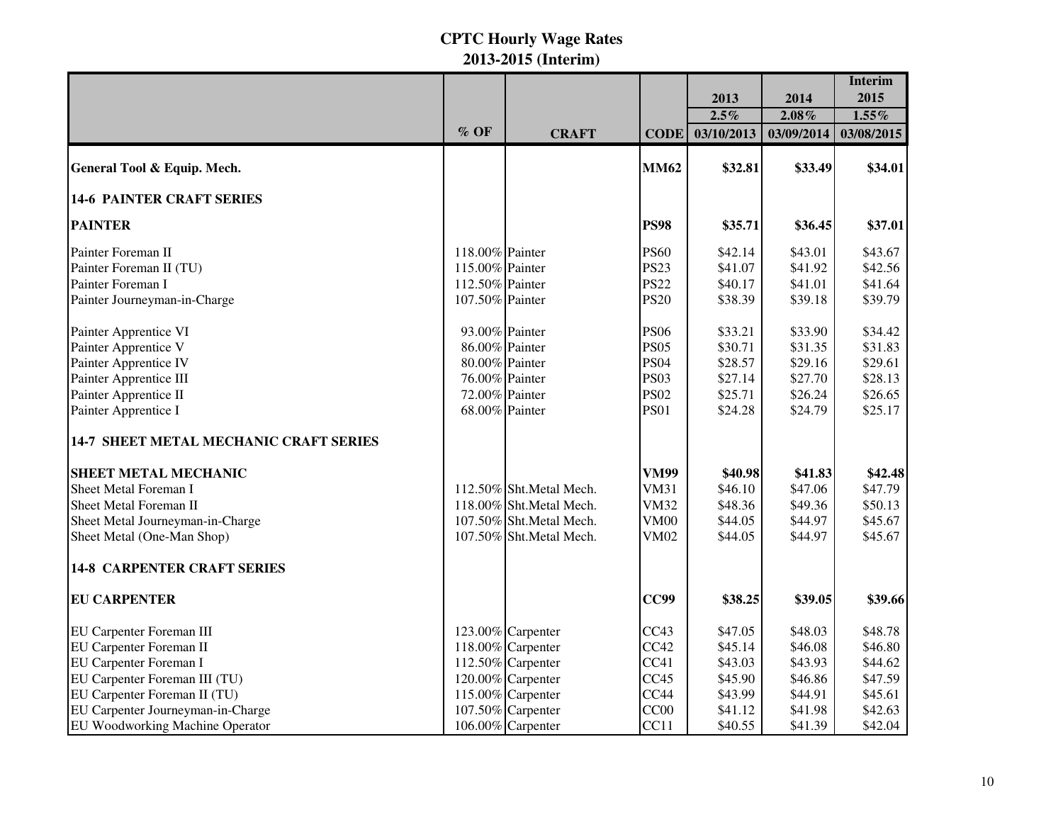|                                               |                 |                         |             |            |            | <b>Interim</b> |
|-----------------------------------------------|-----------------|-------------------------|-------------|------------|------------|----------------|
|                                               |                 |                         |             | 2013       | 2014       | 2015           |
|                                               |                 |                         |             | $2.5\%$    | $2.08\%$   | $1.55\%$       |
|                                               | $%$ OF          | <b>CRAFT</b>            | <b>CODE</b> | 03/10/2013 | 03/09/2014 | 03/08/2015     |
| General Tool & Equip. Mech.                   |                 |                         | <b>MM62</b> | \$32.81    | \$33.49    | \$34.01        |
| <b>14-6 PAINTER CRAFT SERIES</b>              |                 |                         |             |            |            |                |
| <b>PAINTER</b>                                |                 |                         | <b>PS98</b> | \$35.71    | \$36.45    | \$37.01        |
| Painter Foreman II                            | 118.00% Painter |                         | <b>PS60</b> | \$42.14    | \$43.01    | \$43.67        |
| Painter Foreman II (TU)                       | 115.00% Painter |                         | <b>PS23</b> | \$41.07    | \$41.92    | \$42.56        |
| Painter Foreman I                             | 112.50% Painter |                         | <b>PS22</b> | \$40.17    | \$41.01    | \$41.64        |
| Painter Journeyman-in-Charge                  | 107.50% Painter |                         | <b>PS20</b> | \$38.39    | \$39.18    | \$39.79        |
| Painter Apprentice VI                         | 93.00% Painter  |                         | <b>PS06</b> | \$33.21    | \$33.90    | \$34.42        |
| Painter Apprentice V                          | 86.00% Painter  |                         | <b>PS05</b> | \$30.71    | \$31.35    | \$31.83        |
| Painter Apprentice IV                         | 80.00% Painter  |                         | <b>PS04</b> | \$28.57    | \$29.16    | \$29.61        |
| Painter Apprentice III                        | 76.00% Painter  |                         | <b>PS03</b> | \$27.14    | \$27.70    | \$28.13        |
| Painter Apprentice II                         | 72.00% Painter  |                         | <b>PS02</b> | \$25.71    | \$26.24    | \$26.65        |
| Painter Apprentice I                          | 68.00% Painter  |                         | <b>PS01</b> | \$24.28    | \$24.79    | \$25.17        |
| <b>14-7 SHEET METAL MECHANIC CRAFT SERIES</b> |                 |                         |             |            |            |                |
| <b>SHEET METAL MECHANIC</b>                   |                 |                         | <b>VM99</b> | \$40.98    | \$41.83    | \$42.48        |
| <b>Sheet Metal Foreman I</b>                  |                 | 112.50% Sht.Metal Mech. | <b>VM31</b> | \$46.10    | \$47.06    | \$47.79        |
| Sheet Metal Foreman II                        |                 | 118.00% Sht.Metal Mech. | <b>VM32</b> | \$48.36    | \$49.36    | \$50.13        |
| Sheet Metal Journeyman-in-Charge              |                 | 107.50% Sht.Metal Mech. | <b>VM00</b> | \$44.05    | \$44.97    | \$45.67        |
| Sheet Metal (One-Man Shop)                    |                 | 107.50% Sht.Metal Mech. | <b>VM02</b> | \$44.05    | \$44.97    | \$45.67        |
| <b>14-8 CARPENTER CRAFT SERIES</b>            |                 |                         |             |            |            |                |
| <b>EU CARPENTER</b>                           |                 |                         | <b>CC99</b> | \$38.25    | \$39.05    | \$39.66        |
| EU Carpenter Foreman III                      |                 | 123.00% Carpenter       | CC43        | \$47.05    | \$48.03    | \$48.78        |
| <b>EU Carpenter Foreman II</b>                |                 | 118.00% Carpenter       | CC42        | \$45.14    | \$46.08    | \$46.80        |
| <b>EU Carpenter Foreman I</b>                 |                 | 112.50% Carpenter       | CC41        | \$43.03    | \$43.93    | \$44.62        |
| EU Carpenter Foreman III (TU)                 |                 | 120.00% Carpenter       | CC45        | \$45.90    | \$46.86    | \$47.59        |
| EU Carpenter Foreman II (TU)                  |                 | 115.00% Carpenter       | CC44        | \$43.99    | \$44.91    | \$45.61        |
| EU Carpenter Journeyman-in-Charge             |                 | 107.50% Carpenter       | CC00        | \$41.12    | \$41.98    | \$42.63        |
| EU Woodworking Machine Operator               |                 | 106.00% Carpenter       | CC11        | \$40.55    | \$41.39    | \$42.04        |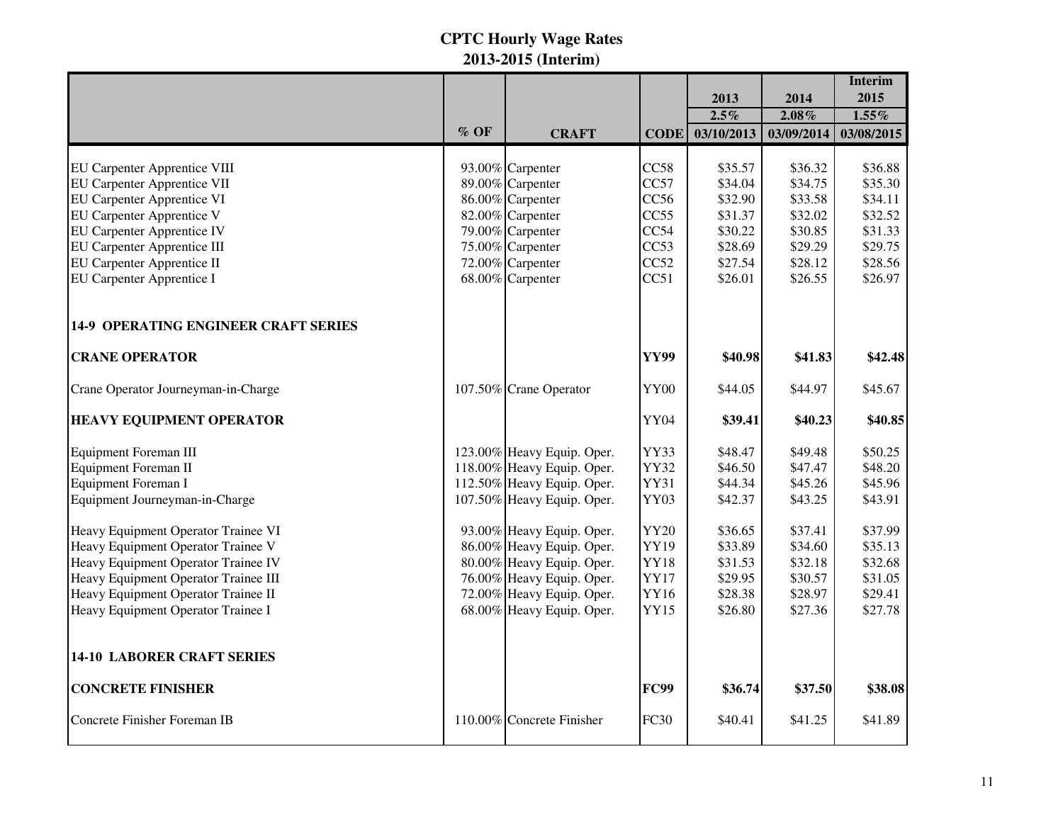|                                             |         |                            |             |                       |                        | <b>Interim</b>         |
|---------------------------------------------|---------|----------------------------|-------------|-----------------------|------------------------|------------------------|
|                                             |         |                            |             | 2013                  | 2014                   | 2015                   |
|                                             | $\%$ OF | <b>CRAFT</b>               | <b>CODE</b> | $2.5\%$<br>03/10/2013 | $2.08\%$<br>03/09/2014 | $1.55\%$<br>03/08/2015 |
|                                             |         |                            |             |                       |                        |                        |
| <b>EU Carpenter Apprentice VIII</b>         |         | 93.00% Carpenter           | CC58        | \$35.57               | \$36.32                | \$36.88                |
| <b>EU Carpenter Apprentice VII</b>          |         | 89.00% Carpenter           | CC57        | \$34.04               | \$34.75                | \$35.30                |
| <b>EU Carpenter Apprentice VI</b>           |         | 86.00% Carpenter           | CC56        | \$32.90               | \$33.58                | \$34.11                |
| <b>EU Carpenter Apprentice V</b>            |         | 82.00% Carpenter           | CC55        | \$31.37               | \$32.02                | \$32.52                |
| <b>EU Carpenter Apprentice IV</b>           |         | 79.00% Carpenter           | CC54        | \$30.22               | \$30.85                | \$31.33                |
| <b>EU Carpenter Apprentice III</b>          |         | 75.00% Carpenter           | CC53        | \$28.69               | \$29.29                | \$29.75                |
| <b>EU Carpenter Apprentice II</b>           |         | 72.00% Carpenter           | CC52        | \$27.54               | \$28.12                | \$28.56                |
| EU Carpenter Apprentice I                   |         | 68.00% Carpenter           | CC51        | \$26.01               | \$26.55                | \$26.97                |
| <b>14-9 OPERATING ENGINEER CRAFT SERIES</b> |         |                            |             |                       |                        |                        |
| <b>CRANE OPERATOR</b>                       |         |                            | <b>YY99</b> | \$40.98               | \$41.83                | \$42.48                |
| Crane Operator Journeyman-in-Charge         |         | 107.50% Crane Operator     | YY00        | \$44.05               | \$44.97                | \$45.67                |
| <b>HEAVY EQUIPMENT OPERATOR</b>             |         |                            | YY04        | \$39.41               | \$40.23                | \$40.85                |
| <b>Equipment Foreman III</b>                |         | 123.00% Heavy Equip. Oper. | YY33        | \$48.47               | \$49.48                | \$50.25                |
| <b>Equipment Foreman II</b>                 |         | 118.00% Heavy Equip. Oper. | YY32        | \$46.50               | \$47.47                | \$48.20                |
| Equipment Foreman I                         |         | 112.50% Heavy Equip. Oper. | YY31        | \$44.34               | \$45.26                | \$45.96                |
| Equipment Journeyman-in-Charge              |         | 107.50% Heavy Equip. Oper. | YY03        | \$42.37               | \$43.25                | \$43.91                |
| Heavy Equipment Operator Trainee VI         |         | 93.00% Heavy Equip. Oper.  | <b>YY20</b> | \$36.65               | \$37.41                | \$37.99                |
| Heavy Equipment Operator Trainee V          |         | 86.00% Heavy Equip. Oper.  | YY19        | \$33.89               | \$34.60                | \$35.13                |
| Heavy Equipment Operator Trainee IV         |         | 80.00% Heavy Equip. Oper.  | <b>YY18</b> | \$31.53               | \$32.18                | \$32.68                |
| Heavy Equipment Operator Trainee III        |         | 76.00% Heavy Equip. Oper.  | <b>YY17</b> | \$29.95               | \$30.57                | \$31.05                |
| Heavy Equipment Operator Trainee II         |         | 72.00% Heavy Equip. Oper.  | YY16        | \$28.38               | \$28.97                | \$29.41                |
| Heavy Equipment Operator Trainee I          |         | 68.00% Heavy Equip. Oper.  | <b>YY15</b> | \$26.80               | \$27.36                | \$27.78                |
| <b>14-10 LABORER CRAFT SERIES</b>           |         |                            |             |                       |                        |                        |
| <b>CONCRETE FINISHER</b>                    |         |                            | <b>FC99</b> | \$36.74               | \$37.50                | \$38.08                |
| Concrete Finisher Foreman IB                |         | 110.00% Concrete Finisher  | <b>FC30</b> | \$40.41               | \$41.25                | \$41.89                |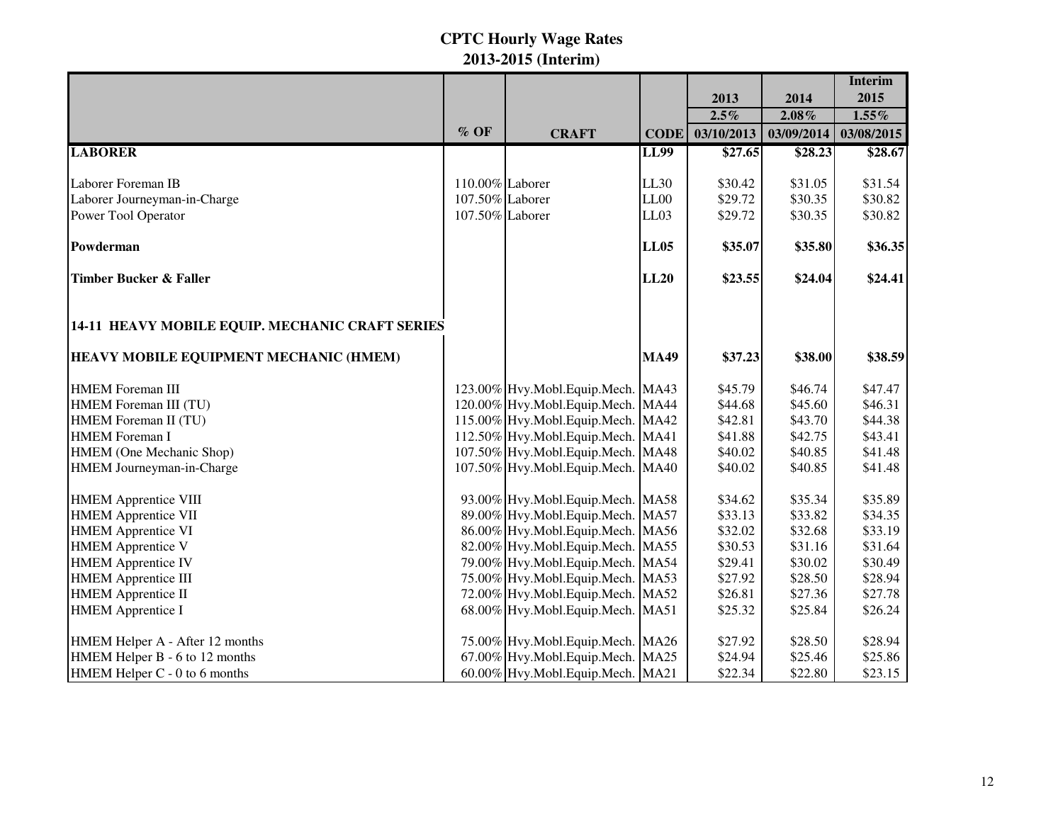|                                                 |                 |                                   |             |            |            | <b>Interim</b> |
|-------------------------------------------------|-----------------|-----------------------------------|-------------|------------|------------|----------------|
|                                                 |                 |                                   |             | 2013       | 2014       | 2015           |
|                                                 |                 |                                   |             | $2.5\%$    | $2.08\%$   | $1.55\%$       |
|                                                 | $%$ OF          | <b>CRAFT</b>                      | <b>CODE</b> | 03/10/2013 | 03/09/2014 | 03/08/2015     |
| <b>LABORER</b>                                  |                 |                                   | <b>LL99</b> | \$27.65    | \$28.23    | \$28.67        |
|                                                 |                 |                                   |             |            |            |                |
| Laborer Foreman IB                              | 110.00% Laborer |                                   | LL30        | \$30.42    | \$31.05    | \$31.54        |
| Laborer Journeyman-in-Charge                    | 107.50% Laborer |                                   | LL00        | \$29.72    | \$30.35    | \$30.82        |
| Power Tool Operator                             | 107.50% Laborer |                                   | LL03        | \$29.72    | \$30.35    | \$30.82        |
| Powderman                                       |                 |                                   | <b>LL05</b> | \$35.07    | \$35.80    | \$36.35        |
| <b>Timber Bucker &amp; Faller</b>               |                 |                                   | <b>LL20</b> | \$23.55    | \$24.04    | \$24.41        |
| 14-11 HEAVY MOBILE EQUIP. MECHANIC CRAFT SERIES |                 |                                   |             |            |            |                |
| <b>HEAVY MOBILE EQUIPMENT MECHANIC (HMEM)</b>   |                 |                                   | <b>MA49</b> | \$37.23    | \$38.00    | \$38.59        |
| <b>HMEM</b> Foreman III                         |                 | 123.00% Hvy.Mobl.Equip.Mech. MA43 |             | \$45.79    | \$46.74    | \$47.47        |
| HMEM Foreman III (TU)                           |                 | 120.00% Hvy.Mobl.Equip.Mech. MA44 |             | \$44.68    | \$45.60    | \$46.31        |
| HMEM Foreman II (TU)                            |                 | 115.00% Hvy.Mobl.Equip.Mech. MA42 |             | \$42.81    | \$43.70    | \$44.38        |
| <b>HMEM</b> Foreman I                           |                 | 112.50% Hvy.Mobl.Equip.Mech. MA41 |             | \$41.88    | \$42.75    | \$43.41        |
| HMEM (One Mechanic Shop)                        |                 | 107.50% Hvy.Mobl.Equip.Mech. MA48 |             | \$40.02    | \$40.85    | \$41.48        |
| HMEM Journeyman-in-Charge                       |                 | 107.50% Hvy.Mobl.Equip.Mech. MA40 |             | \$40.02    | \$40.85    | \$41.48        |
| <b>HMEM Apprentice VIII</b>                     |                 | 93.00% Hvy.Mobl.Equip.Mech. MA58  |             | \$34.62    | \$35.34    | \$35.89        |
| <b>HMEM Apprentice VII</b>                      |                 | 89.00% Hvy.Mobl.Equip.Mech. MA57  |             | \$33.13    | \$33.82    | \$34.35        |
| <b>HMEM</b> Apprentice VI                       |                 | 86.00% Hvy.Mobl.Equip.Mech. MA56  |             | \$32.02    | \$32.68    | \$33.19        |
| <b>HMEM</b> Apprentice V                        |                 | 82.00% Hvy.Mobl.Equip.Mech. MA55  |             | \$30.53    | \$31.16    | \$31.64        |
| <b>HMEM</b> Apprentice IV                       |                 | 79.00% Hvy.Mobl.Equip.Mech. MA54  |             | \$29.41    | \$30.02    | \$30.49        |
| <b>HMEM</b> Apprentice III                      |                 | 75.00% Hvy.Mobl.Equip.Mech. MA53  |             | \$27.92    | \$28.50    | \$28.94        |
| <b>HMEM</b> Apprentice II                       |                 | 72.00% Hvy.Mobl.Equip.Mech. MA52  |             | \$26.81    | \$27.36    | \$27.78        |
| <b>HMEM</b> Apprentice I                        |                 | 68.00% Hvy.Mobl.Equip.Mech. MA51  |             | \$25.32    | \$25.84    | \$26.24        |
| HMEM Helper A - After 12 months                 |                 | 75.00% Hvy.Mobl.Equip.Mech. MA26  |             | \$27.92    | \$28.50    | \$28.94        |
| HMEM Helper B - 6 to 12 months                  |                 | 67.00% Hvy.Mobl.Equip.Mech. MA25  |             | \$24.94    | \$25.46    | \$25.86        |
| HMEM Helper C - 0 to 6 months                   |                 | 60.00% Hvy.Mobl.Equip.Mech. MA21  |             | \$22.34    | \$22.80    | \$23.15        |
|                                                 |                 |                                   |             |            |            |                |